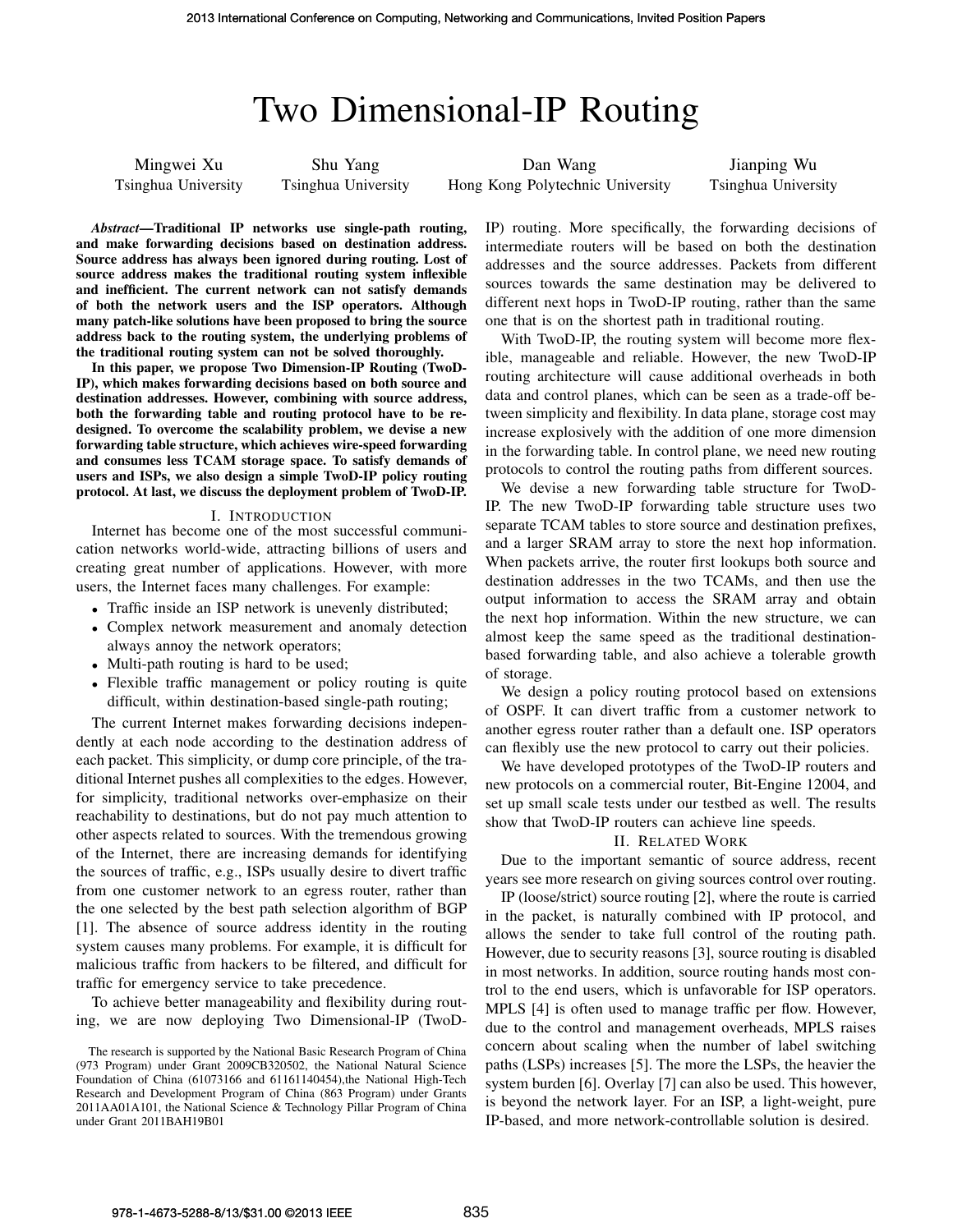# Two Dimensional-IP Routing

Mingwei Xu Tsinghua University

Shu Yang Tsinghua University

Dan Wang Hong Kong Polytechnic University

Jianping Wu Tsinghua University

*Abstract***—Traditional IP networks use single-path routing, and make forwarding decisions based on destination address. Source address has always been ignored during routing. Lost of source address makes the traditional routing system inflexible and inefficient. The current network can not satisfy demands of both the network users and the ISP operators. Although many patch-like solutions have been proposed to bring the source address back to the routing system, the underlying problems of the traditional routing system can not be solved thoroughly.**

**In this paper, we propose Two Dimension-IP Routing (TwoD-IP), which makes forwarding decisions based on both source and destination addresses. However, combining with source address, both the forwarding table and routing protocol have to be redesigned. To overcome the scalability problem, we devise a new forwarding table structure, which achieves wire-speed forwarding and consumes less TCAM storage space. To satisfy demands of users and ISPs, we also design a simple TwoD-IP policy routing protocol. At last, we discuss the deployment problem of TwoD-IP.**

#### I. INTRODUCTION

Internet has become one of the most successful communication networks world-wide, attracting billions of users and creating great number of applications. However, with more users, the Internet faces many challenges. For example:

- Traffic inside an ISP network is unevenly distributed;
- Complex network measurement and anomaly detection always annoy the network operators;
- Multi-path routing is hard to be used;
- Flexible traffic management or policy routing is quite difficult, within destination-based single-path routing;

The current Internet makes forwarding decisions independently at each node according to the destination address of each packet. This simplicity, or dump core principle, of the traditional Internet pushes all complexities to the edges. However, for simplicity, traditional networks over-emphasize on their reachability to destinations, but do not pay much attention to other aspects related to sources. With the tremendous growing of the Internet, there are increasing demands for identifying the sources of traffic, e.g., ISPs usually desire to divert traffic from one customer network to an egress router, rather than the one selected by the best path selection algorithm of BGP [1]. The absence of source address identity in the routing system causes many problems. For example, it is difficult for malicious traffic from hackers to be filtered, and difficult for traffic for emergency service to take precedence.

To achieve better manageability and flexibility during routing, we are now deploying Two Dimensional-IP (TwoD- IP) routing. More specifically, the forwarding decisions of intermediate routers will be based on both the destination addresses and the source addresses. Packets from different sources towards the same destination may be delivered to different next hops in TwoD-IP routing, rather than the same one that is on the shortest path in traditional routing.

With TwoD-IP, the routing system will become more flexible, manageable and reliable. However, the new TwoD-IP routing architecture will cause additional overheads in both data and control planes, which can be seen as a trade-off between simplicity and flexibility. In data plane, storage cost may increase explosively with the addition of one more dimension in the forwarding table. In control plane, we need new routing protocols to control the routing paths from different sources.

We devise a new forwarding table structure for TwoD-IP. The new TwoD-IP forwarding table structure uses two separate TCAM tables to store source and destination prefixes, and a larger SRAM array to store the next hop information. When packets arrive, the router first lookups both source and destination addresses in the two TCAMs, and then use the output information to access the SRAM array and obtain the next hop information. Within the new structure, we can almost keep the same speed as the traditional destinationbased forwarding table, and also achieve a tolerable growth of storage.

We design a policy routing protocol based on extensions of OSPF. It can divert traffic from a customer network to another egress router rather than a default one. ISP operators can flexibly use the new protocol to carry out their policies.

We have developed prototypes of the TwoD-IP routers and new protocols on a commercial router, Bit-Engine 12004, and set up small scale tests under our testbed as well. The results show that TwoD-IP routers can achieve line speeds.

#### II. RELATED WORK

Due to the important semantic of source address, recent years see more research on giving sources control over routing.

IP (loose/strict) source routing [2], where the route is carried in the packet, is naturally combined with IP protocol, and allows the sender to take full control of the routing path. However, due to security reasons [3], source routing is disabled in most networks. In addition, source routing hands most control to the end users, which is unfavorable for ISP operators. MPLS [4] is often used to manage traffic per flow. However, due to the control and management overheads, MPLS raises concern about scaling when the number of label switching paths (LSPs) increases [5]. The more the LSPs, the heavier the system burden [6]. Overlay [7] can also be used. This however, is beyond the network layer. For an ISP, a light-weight, pure IP-based, and more network-controllable solution is desired.

The research is supported by the National Basic Research Program of China (973 Program) under Grant 2009CB320502, the National Natural Science Foundation of China (61073166 and 61161140454),the National High-Tech Research and Development Program of China (863 Program) under Grants 2011AA01A101, the National Science & Technology Pillar Program of China under Grant 2011BAH19B01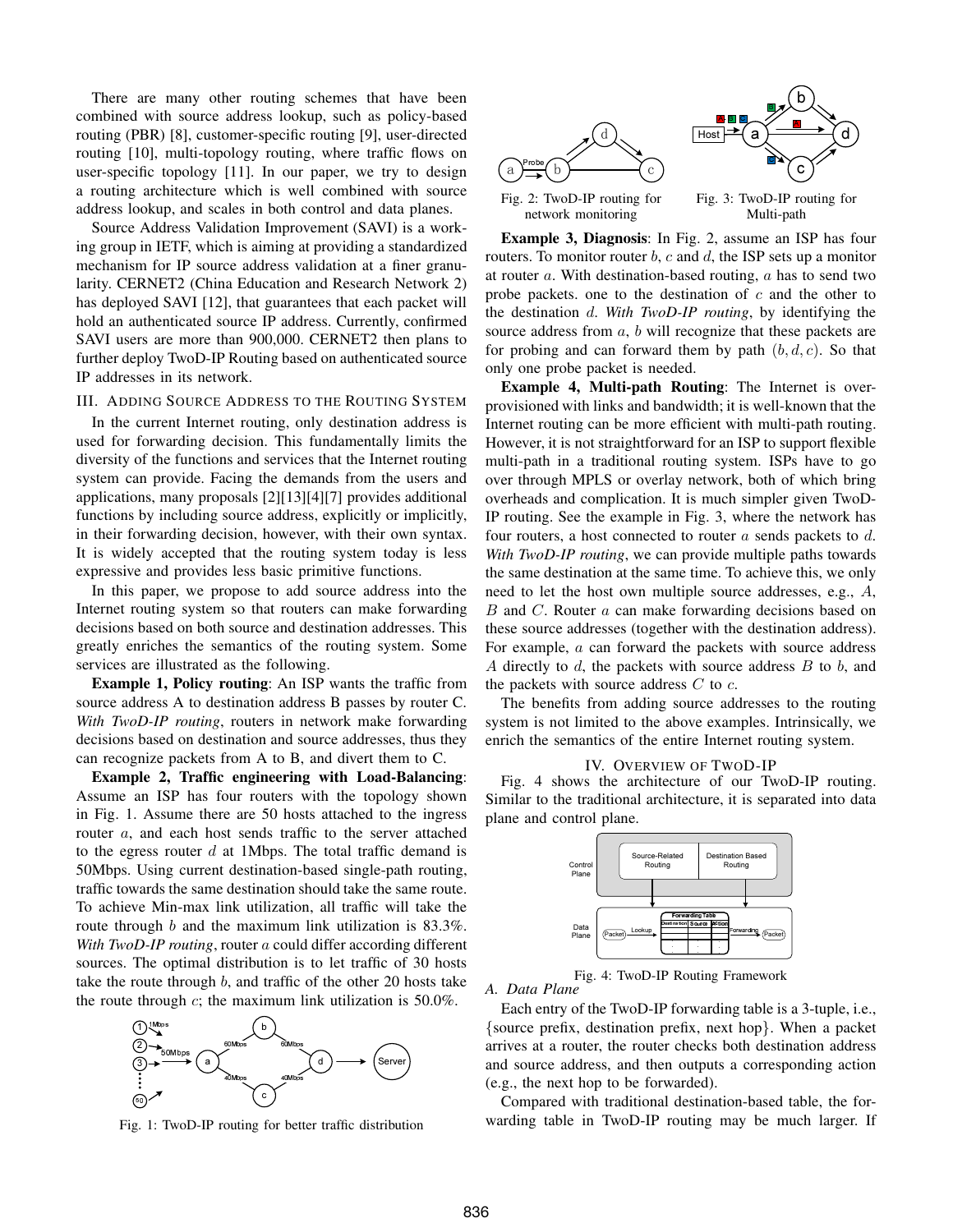There are many other routing schemes that have been combined with source address lookup, such as policy-based routing (PBR) [8], customer-specific routing [9], user-directed routing [10], multi-topology routing, where traffic flows on user-specific topology [11]. In our paper, we try to design a routing architecture which is well combined with source address lookup, and scales in both control and data planes.

Source Address Validation Improvement (SAVI) is a working group in IETF, which is aiming at providing a standardized mechanism for IP source address validation at a finer granularity. CERNET2 (China Education and Research Network 2) has deployed SAVI [12], that guarantees that each packet will hold an authenticated source IP address. Currently, confirmed SAVI users are more than 900,000. CERNET2 then plans to further deploy TwoD-IP Routing based on authenticated source IP addresses in its network.

# III. ADDING SOURCE ADDRESS TO THE ROUTING SYSTEM

In the current Internet routing, only destination address is used for forwarding decision. This fundamentally limits the diversity of the functions and services that the Internet routing system can provide. Facing the demands from the users and applications, many proposals [2][13][4][7] provides additional functions by including source address, explicitly or implicitly, in their forwarding decision, however, with their own syntax. It is widely accepted that the routing system today is less expressive and provides less basic primitive functions.

In this paper, we propose to add source address into the Internet routing system so that routers can make forwarding decisions based on both source and destination addresses. This greatly enriches the semantics of the routing system. Some services are illustrated as the following.

**Example 1, Policy routing**: An ISP wants the traffic from source address A to destination address B passes by router C. *With TwoD-IP routing*, routers in network make forwarding decisions based on destination and source addresses, thus they can recognize packets from A to B, and divert them to C.

**Example 2, Traffic engineering with Load-Balancing**: Assume an ISP has four routers with the topology shown in Fig. 1. Assume there are 50 hosts attached to the ingress router a, and each host sends traffic to the server attached to the egress router  $d$  at 1Mbps. The total traffic demand is 50Mbps. Using current destination-based single-path routing, traffic towards the same destination should take the same route. To achieve Min-max link utilization, all traffic will take the route through b and the maximum link utilization is  $83.3\%$ . *With TwoD-IP routing*, router a could differ according different sources. The optimal distribution is to let traffic of 30 hosts take the route through  $b$ , and traffic of the other 20 hosts take the route through  $c$ ; the maximum link utilization is 50.0%.



Fig. 1: TwoD-IP routing for better traffic distribution



network monitoring Multi-path

**Example 3, Diagnosis**: In Fig. 2, assume an ISP has four routers. To monitor router  $b$ ,  $c$  and  $d$ , the ISP sets up a monitor at router  $a$ . With destination-based routing,  $a$  has to send two probe packets, one to the destination of  $c$  and the other to the destination d. *With TwoD-IP routing*, by identifying the source address from  $a$ ,  $b$  will recognize that these packets are for probing and can forward them by path  $(b, d, c)$ . So that only one probe packet is needed.

**Example 4, Multi-path Routing**: The Internet is overprovisioned with links and bandwidth; it is well-known that the Internet routing can be more efficient with multi-path routing. However, it is not straightforward for an ISP to support flexible multi-path in a traditional routing system. ISPs have to go over through MPLS or overlay network, both of which bring overheads and complication. It is much simpler given TwoD-IP routing. See the example in Fig. 3, where the network has four routers, a host connected to router  $a$  sends packets to  $d$ . *With TwoD-IP routing*, we can provide multiple paths towards the same destination at the same time. To achieve this, we only need to let the host own multiple source addresses, e.g., A, B and C. Router a can make forwarding decisions based on these source addresses (together with the destination address). For example, a can forward the packets with source address A directly to  $d$ , the packets with source address  $B$  to  $b$ , and the packets with source address  $C$  to  $c$ .

The benefits from adding source addresses to the routing system is not limited to the above examples. Intrinsically, we enrich the semantics of the entire Internet routing system.

#### IV. OVERVIEW OF TWOD-IP

Fig. 4 shows the architecture of our TwoD-IP routing. Similar to the traditional architecture, it is separated into data plane and control plane.



Fig. 4: TwoD-IP Routing Framework

*A. Data Plane*

Each entry of the TwoD-IP forwarding table is a 3-tuple, i.e., {source prefix, destination prefix, next hop}. When a packet arrives at a router, the router checks both destination address and source address, and then outputs a corresponding action (e.g., the next hop to be forwarded).

Compared with traditional destination-based table, the forwarding table in TwoD-IP routing may be much larger. If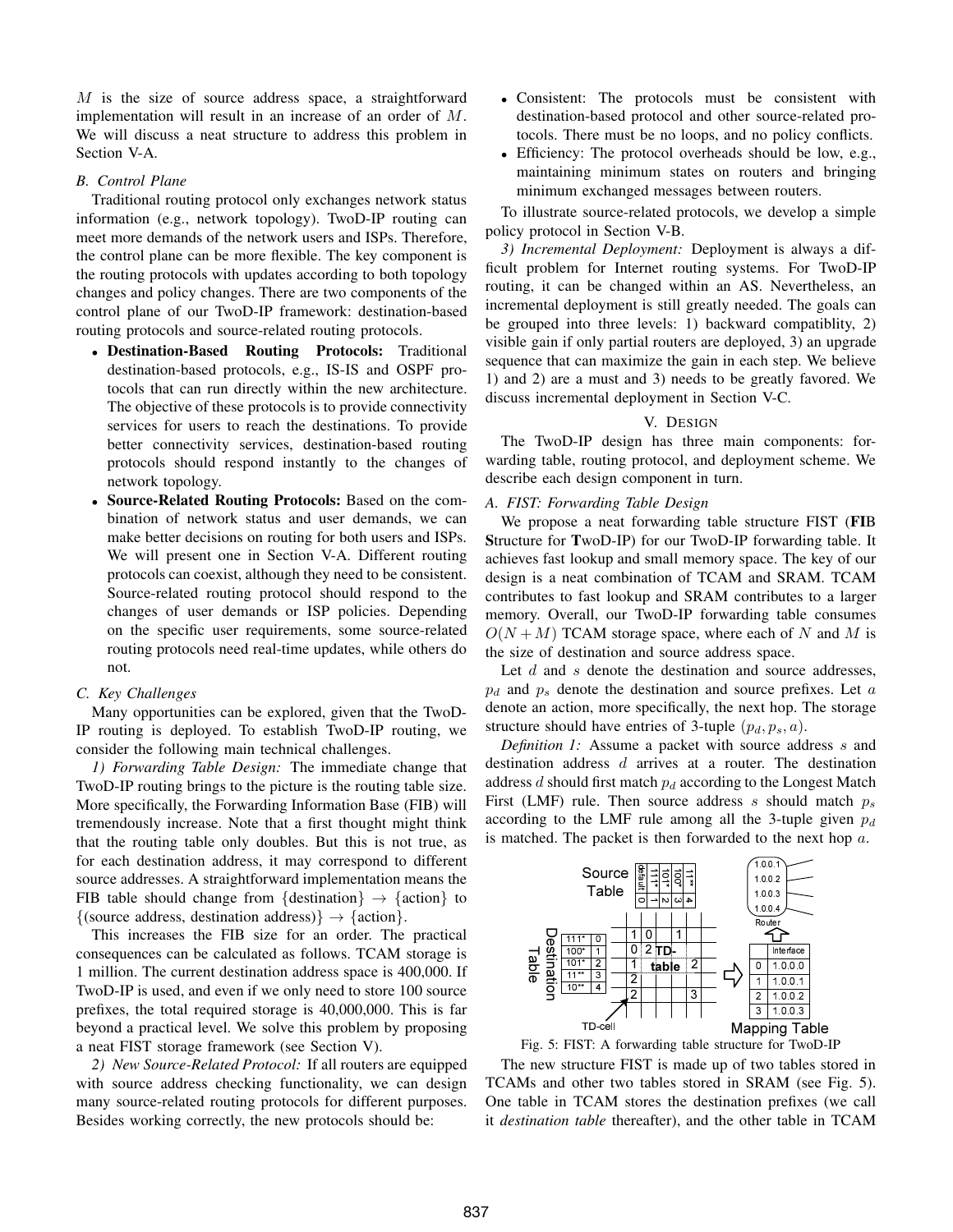M is the size of source address space, a straightforward implementation will result in an increase of an order of M. We will discuss a neat structure to address this problem in Section V-A.

# *B. Control Plane*

Traditional routing protocol only exchanges network status information (e.g., network topology). TwoD-IP routing can meet more demands of the network users and ISPs. Therefore, the control plane can be more flexible. The key component is the routing protocols with updates according to both topology changes and policy changes. There are two components of the control plane of our TwoD-IP framework: destination-based routing protocols and source-related routing protocols.

- **Destination-Based Routing Protocols:** Traditional destination-based protocols, e.g., IS-IS and OSPF protocols that can run directly within the new architecture. The objective of these protocols is to provide connectivity services for users to reach the destinations. To provide better connectivity services, destination-based routing protocols should respond instantly to the changes of network topology.
- **Source-Related Routing Protocols:** Based on the combination of network status and user demands, we can make better decisions on routing for both users and ISPs. We will present one in Section V-A. Different routing protocols can coexist, although they need to be consistent. Source-related routing protocol should respond to the changes of user demands or ISP policies. Depending on the specific user requirements, some source-related routing protocols need real-time updates, while others do not.

# *C. Key Challenges*

Many opportunities can be explored, given that the TwoD-IP routing is deployed. To establish TwoD-IP routing, we consider the following main technical challenges.

*1) Forwarding Table Design:* The immediate change that TwoD-IP routing brings to the picture is the routing table size. More specifically, the Forwarding Information Base (FIB) will tremendously increase. Note that a first thought might think that the routing table only doubles. But this is not true, as for each destination address, it may correspond to different source addresses. A straightforward implementation means the FIB table should change from  ${destination} \rightarrow {action}$  to  $\{$ (source address, destination address) $\} \rightarrow \{$ action $\}.$ 

This increases the FIB size for an order. The practical consequences can be calculated as follows. TCAM storage is 1 million. The current destination address space is 400,000. If TwoD-IP is used, and even if we only need to store 100 source prefixes, the total required storage is 40,000,000. This is far beyond a practical level. We solve this problem by proposing a neat FIST storage framework (see Section V).

*2) New Source-Related Protocol:* If all routers are equipped with source address checking functionality, we can design many source-related routing protocols for different purposes. Besides working correctly, the new protocols should be:

- Consistent: The protocols must be consistent with destination-based protocol and other source-related protocols. There must be no loops, and no policy conflicts.
- Efficiency: The protocol overheads should be low, e.g., maintaining minimum states on routers and bringing minimum exchanged messages between routers.

To illustrate source-related protocols, we develop a simple policy protocol in Section V-B.

*3) Incremental Deployment:* Deployment is always a difficult problem for Internet routing systems. For TwoD-IP routing, it can be changed within an AS. Nevertheless, an incremental deployment is still greatly needed. The goals can be grouped into three levels: 1) backward compatiblity, 2) visible gain if only partial routers are deployed, 3) an upgrade sequence that can maximize the gain in each step. We believe 1) and 2) are a must and 3) needs to be greatly favored. We discuss incremental deployment in Section V-C.

#### V. DESIGN

The TwoD-IP design has three main components: forwarding table, routing protocol, and deployment scheme. We describe each design component in turn.

### *A. FIST: Forwarding Table Design*

We propose a neat forwarding table structure FIST (**FI**B **S**tructure for **T**woD-IP) for our TwoD-IP forwarding table. It achieves fast lookup and small memory space. The key of our design is a neat combination of TCAM and SRAM. TCAM contributes to fast lookup and SRAM contributes to a larger memory. Overall, our TwoD-IP forwarding table consumes  $O(N + M)$  TCAM storage space, where each of N and M is the size of destination and source address space.

Let d and s denote the destination and source addresses,  $p_d$  and  $p_s$  denote the destination and source prefixes. Let a denote an action, more specifically, the next hop. The storage structure should have entries of 3-tuple  $(p_d, p_s, a)$ .

*Definition 1:* Assume a packet with source address s and destination address d arrives at a router. The destination address d should first match  $p_d$  according to the Longest Match First (LMF) rule. Then source address s should match  $p_s$ according to the LMF rule among all the 3-tuple given  $p_d$ is matched. The packet is then forwarded to the next hop  $a$ .



Fig. 5: FIST: A forwarding table structure for TwoD-IP

The new structure FIST is made up of two tables stored in TCAMs and other two tables stored in SRAM (see Fig. 5). One table in TCAM stores the destination prefixes (we call it *destination table* thereafter), and the other table in TCAM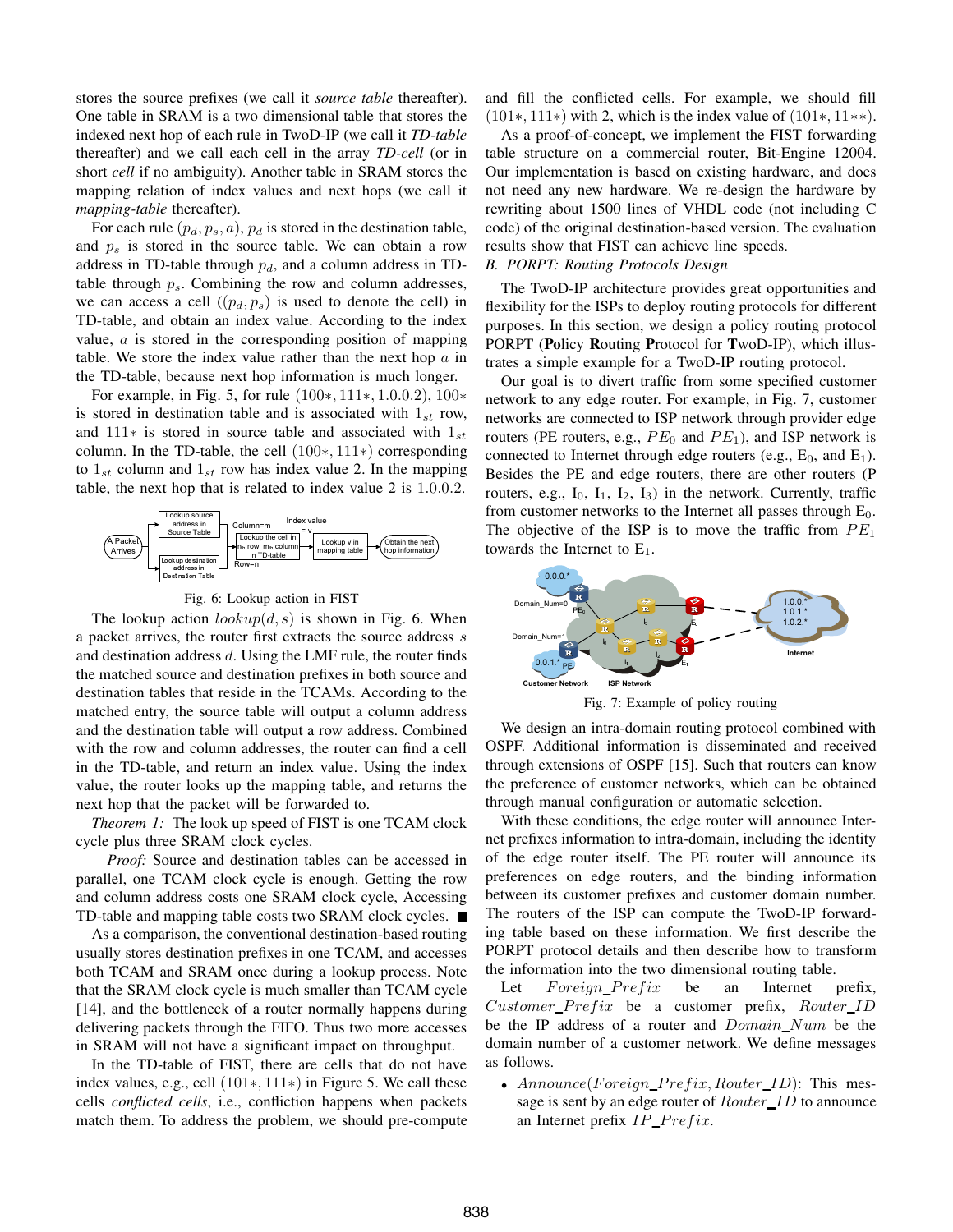stores the source prefixes (we call it *source table* thereafter). One table in SRAM is a two dimensional table that stores the indexed next hop of each rule in TwoD-IP (we call it *TD-table* thereafter) and we call each cell in the array *TD-cell* (or in short *cell* if no ambiguity). Another table in SRAM stores the mapping relation of index values and next hops (we call it *mapping-table* thereafter).

For each rule  $(p_d, p_s, a)$ ,  $p_d$  is stored in the destination table, and  $p_s$  is stored in the source table. We can obtain a row address in TD-table through  $p_d$ , and a column address in TDtable through  $p_s$ . Combining the row and column addresses, we can access a cell  $((p_d, p_s)$  is used to denote the cell) in TD-table, and obtain an index value. According to the index value,  $\alpha$  is stored in the corresponding position of mapping table. We store the index value rather than the next hop  $a$  in the TD-table, because next hop information is much longer.

For example, in Fig. 5, for rule (100∗, 111∗, 1.0.0.2), 100∗ is stored in destination table and is associated with  $1_{st}$  row, and 111<sup> $>*$  is stored in source table and associated with  $1_{st}$ column. In the TD-table, the cell (100∗, 111∗) corresponding to  $1_{st}$  column and  $1_{st}$  row has index value 2. In the mapping table, the next hop that is related to index value 2 is 1.0.0.2.



#### Fig. 6: Lookup action in FIST

The lookup action  $lookup(d, s)$  is shown in Fig. 6. When a packet arrives, the router first extracts the source address s and destination address d. Using the LMF rule, the router finds the matched source and destination prefixes in both source and destination tables that reside in the TCAMs. According to the matched entry, the source table will output a column address and the destination table will output a row address. Combined with the row and column addresses, the router can find a cell in the TD-table, and return an index value. Using the index value, the router looks up the mapping table, and returns the next hop that the packet will be forwarded to.

*Theorem 1:* The look up speed of FIST is one TCAM clock cycle plus three SRAM clock cycles.

*Proof:* Source and destination tables can be accessed in parallel, one TCAM clock cycle is enough. Getting the row and column address costs one SRAM clock cycle, Accessing TD-table and mapping table costs two SRAM clock cycles.

As a comparison, the conventional destination-based routing usually stores destination prefixes in one TCAM, and accesses both TCAM and SRAM once during a lookup process. Note that the SRAM clock cycle is much smaller than TCAM cycle [14], and the bottleneck of a router normally happens during delivering packets through the FIFO. Thus two more accesses in SRAM will not have a significant impact on throughput.

In the TD-table of FIST, there are cells that do not have index values, e.g., cell (101∗, 111∗) in Figure 5. We call these cells *conflicted cells*, i.e., confliction happens when packets match them. To address the problem, we should pre-compute and fill the conflicted cells. For example, we should fill  $(101*, 111*)$  with 2, which is the index value of  $(101*, 11**)$ .

As a proof-of-concept, we implement the FIST forwarding table structure on a commercial router, Bit-Engine 12004. Our implementation is based on existing hardware, and does not need any new hardware. We re-design the hardware by rewriting about 1500 lines of VHDL code (not including C code) of the original destination-based version. The evaluation results show that FIST can achieve line speeds.

# *B. PORPT: Routing Protocols Design*

The TwoD-IP architecture provides great opportunities and flexibility for the ISPs to deploy routing protocols for different purposes. In this section, we design a policy routing protocol PORPT (**Po**licy **R**outing **P**rotocol for **T**woD-IP), which illustrates a simple example for a TwoD-IP routing protocol.

Our goal is to divert traffic from some specified customer network to any edge router. For example, in Fig. 7, customer networks are connected to ISP network through provider edge routers (PE routers, e.g.,  $PE_0$  and  $PE_1$ ), and ISP network is connected to Internet through edge routers (e.g.,  $E_0$ , and  $E_1$ ). Besides the PE and edge routers, there are other routers (P routers, e.g.,  $I_0$ ,  $I_1$ ,  $I_2$ ,  $I_3$ ) in the network. Currently, traffic from customer networks to the Internet all passes through  $E_0$ . The objective of the ISP is to move the traffic from  $PE_1$ towards the Internet to  $E_1$ .



Fig. 7: Example of policy routing

We design an intra-domain routing protocol combined with OSPF. Additional information is disseminated and received through extensions of OSPF [15]. Such that routers can know the preference of customer networks, which can be obtained through manual configuration or automatic selection.

With these conditions, the edge router will announce Internet prefixes information to intra-domain, including the identity of the edge router itself. The PE router will announce its preferences on edge routers, and the binding information between its customer prefixes and customer domain number. The routers of the ISP can compute the TwoD-IP forwarding table based on these information. We first describe the PORPT protocol details and then describe how to transform the information into the two dimensional routing table.

Let  $Foreign\_Prefix$  be an Internet prefix,  $Customer\_Prefix$  be a customer prefix,  $Router\_ID$ be the IP address of a router and  $Domain\_Num$  be the domain number of a customer network. We define messages as follows.

• Announce (Foreign\_Prefix, Router\_ID): This message is sent by an edge router of *Router ID* to announce an Internet prefix  $IP\_Prefix$ .